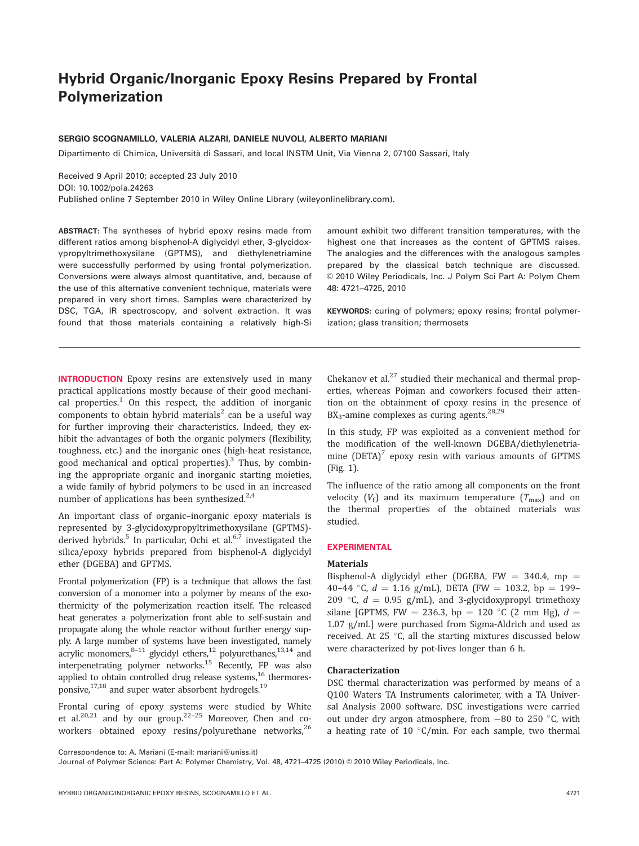# Hybrid Organic/Inorganic Epoxy Resins Prepared by Frontal Polymerization

# SERGIO SCOGNAMILLO, VALERIA ALZARI, DANIELE NUVOLI, ALBERTO MARIANI

Dipartimento di Chimica, Università di Sassari, and local INSTM Unit, Via Vienna 2, 07100 Sassari, Italy

Received 9 April 2010; accepted 23 July 2010 DOI: 10.1002/pola.24263 Published online 7 September 2010 in Wiley Online Library (wileyonlinelibrary.com).

ABSTRACT: The syntheses of hybrid epoxy resins made from different ratios among bisphenol-A diglycidyl ether, 3-glycidoxypropyltrimethoxysilane (GPTMS), and diethylenetriamine were successfully performed by using frontal polymerization. Conversions were always almost quantitative, and, because of the use of this alternative convenient technique, materials were prepared in very short times. Samples were characterized by DSC, TGA, IR spectroscopy, and solvent extraction. It was found that those materials containing a relatively high-Si

amount exhibit two different transition temperatures, with the highest one that increases as the content of GPTMS raises. The analogies and the differences with the analogous samples prepared by the classical batch technique are discussed. © 2010 Wiley Periodicals, Inc. J Polym Sci Part A: Polym Chem 48: 4721–4725, 2010

KEYWORDS: curing of polymers; epoxy resins; frontal polymerization; glass transition; thermosets

INTRODUCTION Epoxy resins are extensively used in many practical applications mostly because of their good mechanical properties. $1$  On this respect, the addition of inorganic components to obtain hybrid materials<sup>2</sup> can be a useful way for further improving their characteristics. Indeed, they exhibit the advantages of both the organic polymers (flexibility, toughness, etc.) and the inorganic ones (high-heat resistance, good mechanical and optical properties).<sup>3</sup> Thus, by combining the appropriate organic and inorganic starting moieties, a wide family of hybrid polymers to be used in an increased number of applications has been synthesized. $2,4$ 

An important class of organic–inorganic epoxy materials is represented by 3-glycidoxypropyltrimethoxysilane (GPTMS) derived hybrids.<sup>5</sup> In particular, Ochi et al. $6,7$  investigated the silica/epoxy hybrids prepared from bisphenol-A diglycidyl ether (DGEBA) and GPTMS.

Frontal polymerization (FP) is a technique that allows the fast conversion of a monomer into a polymer by means of the exothermicity of the polymerization reaction itself. The released heat generates a polymerization front able to self-sustain and propagate along the whole reactor without further energy supply. A large number of systems have been investigated, namely acrylic monomers,  $8-11$  glycidyl ethers,  $12$  polyurethanes,  $13,14$  and interpenetrating polymer networks.<sup>15</sup> Recently, FP was also applied to obtain controlled drug release systems, $^{16}$  thermoresponsive, $17,18$  and super water absorbent hydrogels.<sup>19</sup>

Frontal curing of epoxy systems were studied by White et al. $20,21$  and by our group.<sup>22-25</sup> Moreover, Chen and coworkers obtained epoxy resins/polyurethane networks, $^{26}$  Chekanov et al. $^{27}$  studied their mechanical and thermal properties, whereas Pojman and coworkers focused their attention on the obtainment of epoxy resins in the presence of  $BX_3$ -amine complexes as curing agents.<sup>28,29</sup>

In this study, FP was exploited as a convenient method for the modification of the well-known DGEBA/diethylenetriamine  $(DETA)^7$  epoxy resin with various amounts of GPTMS (Fig. 1).

The influence of the ratio among all components on the front velocity  $(V_f)$  and its maximum temperature  $(T_{\text{max}})$  and on the thermal properties of the obtained materials was studied.

#### EXPERIMENTAL

#### Materials

Bisphenol-A diglycidyl ether (DGEBA, FW = 340.4, mp = 40–44 °C,  $d = 1.16$  g/mL), DETA (FW = 103.2, bp = 199– 209 °C,  $d = 0.95$  g/mL), and 3-glycidoxypropyl trimethoxy silane [GPTMS, FW = 236.3, bp = 120 °C (2 mm Hg),  $d =$ 1.07 g/mL] were purchased from Sigma-Aldrich and used as received. At 25  $\degree$ C, all the starting mixtures discussed below were characterized by pot-lives longer than 6 h.

### Characterization

DSC thermal characterization was performed by means of a Q100 Waters TA Instruments calorimeter, with a TA Universal Analysis 2000 software. DSC investigations were carried out under dry argon atmosphere, from  $-80$  to 250 °C, with a heating rate of 10  $\degree$ C/min. For each sample, two thermal

Correspondence to: A. Mariani (E-mail: mariani@uniss.it)

Journal of Polymer Science: Part A: Polymer Chemistry, Vol. 48, 4721-4725 (2010) © 2010 Wiley Periodicals, Inc.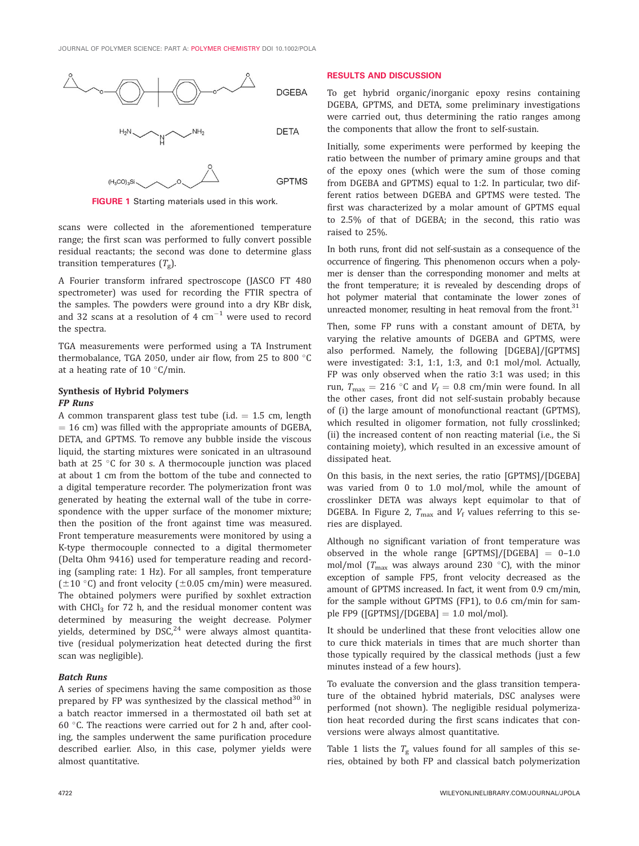

FIGURE 1 Starting materials used in this work.

scans were collected in the aforementioned temperature range; the first scan was performed to fully convert possible residual reactants; the second was done to determine glass transition temperatures  $(T_g)$ .

A Fourier transform infrared spectroscope (JASCO FT 480 spectrometer) was used for recording the FTIR spectra of the samples. The powders were ground into a dry KBr disk, and 32 scans at a resolution of 4  $\rm cm^{-1}$  were used to record the spectra.

TGA measurements were performed using a TA Instrument thermobalance, TGA 2050, under air flow, from 25 to 800 $\degree$ C at a heating rate of 10 $\degree$ C/min.

#### Synthesis of Hybrid Polymers FP Runs

A common transparent glass test tube (i.d.  $= 1.5$  cm, length  $= 16$  cm) was filled with the appropriate amounts of DGEBA, DETA, and GPTMS. To remove any bubble inside the viscous liquid, the starting mixtures were sonicated in an ultrasound bath at 25  $\degree$ C for 30 s. A thermocouple junction was placed at about 1 cm from the bottom of the tube and connected to a digital temperature recorder. The polymerization front was generated by heating the external wall of the tube in correspondence with the upper surface of the monomer mixture; then the position of the front against time was measured. Front temperature measurements were monitored by using a K-type thermocouple connected to a digital thermometer (Delta Ohm 9416) used for temperature reading and recording (sampling rate: 1 Hz). For all samples, front temperature ( $\pm$ 10 °C) and front velocity ( $\pm$ 0.05 cm/min) were measured. The obtained polymers were purified by soxhlet extraction with  $CHCl<sub>3</sub>$  for 72 h, and the residual monomer content was determined by measuring the weight decrease. Polymer yields, determined by  $DSC<sub>1</sub><sup>24</sup>$  were always almost quantitative (residual polymerization heat detected during the first scan was negligible).

## Batch Runs

A series of specimens having the same composition as those prepared by FP was synthesized by the classical method $30$  in a batch reactor immersed in a thermostated oil bath set at 60 $\degree$ C. The reactions were carried out for 2 h and, after cooling, the samples underwent the same purification procedure described earlier. Also, in this case, polymer yields were almost quantitative.

#### RESULTS AND DISCUSSION

To get hybrid organic/inorganic epoxy resins containing DGEBA, GPTMS, and DETA, some preliminary investigations were carried out, thus determining the ratio ranges among the components that allow the front to self-sustain.

Initially, some experiments were performed by keeping the ratio between the number of primary amine groups and that of the epoxy ones (which were the sum of those coming from DGEBA and GPTMS) equal to 1:2. In particular, two different ratios between DGEBA and GPTMS were tested. The first was characterized by a molar amount of GPTMS equal to 2.5% of that of DGEBA; in the second, this ratio was raised to 25%.

In both runs, front did not self-sustain as a consequence of the occurrence of fingering. This phenomenon occurs when a polymer is denser than the corresponding monomer and melts at the front temperature; it is revealed by descending drops of hot polymer material that contaminate the lower zones of unreacted monomer, resulting in heat removal from the front.<sup>31</sup>

Then, some FP runs with a constant amount of DETA, by varying the relative amounts of DGEBA and GPTMS, were also performed. Namely, the following [DGEBA]/[GPTMS] were investigated: 3:1, 1:1, 1:3, and 0:1 mol/mol. Actually, FP was only observed when the ratio 3:1 was used; in this run,  $T_{\text{max}} = 216$  °C and  $V_f = 0.8$  cm/min were found. In all the other cases, front did not self-sustain probably because of (i) the large amount of monofunctional reactant (GPTMS), which resulted in oligomer formation, not fully crosslinked; (ii) the increased content of non reacting material (i.e., the Si containing moiety), which resulted in an excessive amount of dissipated heat.

On this basis, in the next series, the ratio [GPTMS]/[DGEBA] was varied from 0 to 1.0 mol/mol, while the amount of crosslinker DETA was always kept equimolar to that of DGEBA. In Figure 2,  $T_{\text{max}}$  and  $V_f$  values referring to this series are displayed.

Although no significant variation of front temperature was observed in the whole range  $[GPTMS]/[DGEBA] = 0-1.0$ mol/mol ( $T_{\text{max}}$  was always around 230 °C), with the minor exception of sample FP5, front velocity decreased as the amount of GPTMS increased. In fact, it went from 0.9 cm/min, for the sample without GPTMS (FP1), to 0.6 cm/min for sample FP9 ([GPTMS]/[DGEBA] = 1.0 mol/mol).

It should be underlined that these front velocities allow one to cure thick materials in times that are much shorter than those typically required by the classical methods (just a few minutes instead of a few hours).

To evaluate the conversion and the glass transition temperature of the obtained hybrid materials, DSC analyses were performed (not shown). The negligible residual polymerization heat recorded during the first scans indicates that conversions were always almost quantitative.

Table 1 lists the  $T_{g}$  values found for all samples of this series, obtained by both FP and classical batch polymerization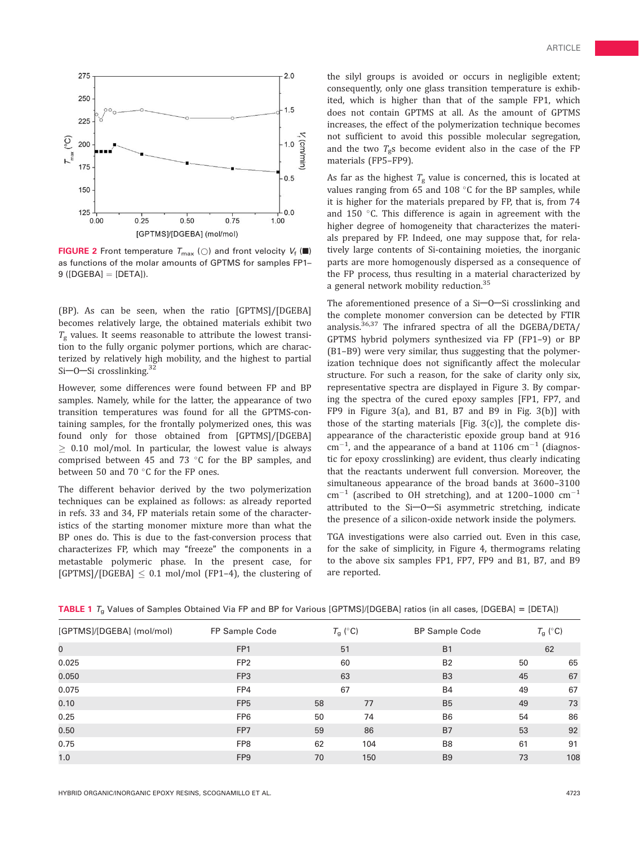

**FIGURE 2** Front temperature  $T_{\text{max}}$  ( $\bigcirc$ ) and front velocity  $V_f$  ( $\blacksquare$ ) as functions of the molar amounts of GPTMS for samples FP1–  $9$  ([DGEBA] = [DETA]).

(BP). As can be seen, when the ratio [GPTMS]/[DGEBA] becomes relatively large, the obtained materials exhibit two  $T_{\alpha}$  values. It seems reasonable to attribute the lowest transition to the fully organic polymer portions, which are characterized by relatively high mobility, and the highest to partial Si $-0$ -Si crosslinking.<sup>32</sup>

However, some differences were found between FP and BP samples. Namely, while for the latter, the appearance of two transition temperatures was found for all the GPTMS-containing samples, for the frontally polymerized ones, this was found only for those obtained from [GPTMS]/[DGEBA]  $> 0.10$  mol/mol. In particular, the lowest value is always comprised between 45 and 73  $\degree$ C for the BP samples, and between 50 and 70 $\degree$ C for the FP ones.

The different behavior derived by the two polymerization techniques can be explained as follows: as already reported in refs. 33 and 34, FP materials retain some of the characteristics of the starting monomer mixture more than what the BP ones do. This is due to the fast-conversion process that characterizes FP, which may "freeze" the components in a metastable polymeric phase. In the present case, for [GPTMS]/[DGEBA]  $\leq$  0.1 mol/mol (FP1-4), the clustering of

the silyl groups is avoided or occurs in negligible extent; consequently, only one glass transition temperature is exhibited, which is higher than that of the sample FP1, which does not contain GPTMS at all. As the amount of GPTMS increases, the effect of the polymerization technique becomes not sufficient to avoid this possible molecular segregation, and the two  $T_g$ s become evident also in the case of the FP materials (FP5–FP9).

As far as the highest  $T_g$  value is concerned, this is located at values ranging from 65 and 108  $\degree$ C for the BP samples, while it is higher for the materials prepared by FP, that is, from 74 and 150  $\degree$ C. This difference is again in agreement with the higher degree of homogeneity that characterizes the materials prepared by FP. Indeed, one may suppose that, for relatively large contents of Si-containing moieties, the inorganic parts are more homogenously dispersed as a consequence of the FP process, thus resulting in a material characterized by a general network mobility reduction.<sup>35</sup>

The aforementioned presence of a  $Si$ -O-Si crosslinking and the complete monomer conversion can be detected by FTIR analysis. $36,37$  The infrared spectra of all the DGEBA/DETA/ GPTMS hybrid polymers synthesized via FP (FP1–9) or BP (B1–B9) were very similar, thus suggesting that the polymerization technique does not significantly affect the molecular structure. For such a reason, for the sake of clarity only six, representative spectra are displayed in Figure 3. By comparing the spectra of the cured epoxy samples [FP1, FP7, and FP9 in Figure 3(a), and B1, B7 and B9 in Fig. 3(b)] with those of the starting materials [Fig.  $3(c)$ ], the complete disappearance of the characteristic epoxide group band at 916  $\text{cm}^{-1}$ , and the appearance of a band at 1106  $\text{cm}^{-1}$  (diagnostic for epoxy crosslinking) are evident, thus clearly indicating that the reactants underwent full conversion. Moreover, the simultaneous appearance of the broad bands at 3600–3100  $\text{cm}^{-1}$  (ascribed to OH stretching), and at 1200-1000  $\text{cm}^{-1}$ attributed to the  $Si$ -O-Si asymmetric stretching, indicate the presence of a silicon-oxide network inside the polymers.

TGA investigations were also carried out. Even in this case, for the sake of simplicity, in Figure 4, thermograms relating to the above six samples FP1, FP7, FP9 and B1, B7, and B9 are reported.

| [GPTMS]/[DGEBA] (mol/mol) | FP Sample Code  | $T_g$ (°C) |     | <b>BP Sample Code</b> |    | $T_g$ (°C) |  |
|---------------------------|-----------------|------------|-----|-----------------------|----|------------|--|
| $\mathbf 0$               | FP <sub>1</sub> | 51         |     | <b>B1</b>             |    | 62         |  |
| 0.025                     | FP <sub>2</sub> | 60         |     | <b>B2</b>             | 50 | 65         |  |
| 0.050                     | FP <sub>3</sub> | 63         |     | B <sub>3</sub>        | 45 | 67         |  |
| 0.075                     | FP4             | 67         |     | <b>B4</b>             | 49 | 67         |  |
| 0.10                      | FP <sub>5</sub> | 58         | 77  | B <sub>5</sub>        | 49 | 73         |  |
| 0.25                      | FP <sub>6</sub> | 50         | 74  | B <sub>6</sub>        | 54 | 86         |  |
| 0.50                      | FP <sub>7</sub> | 59         | 86  | <b>B7</b>             | 53 | 92         |  |
| 0.75                      | FP <sub>8</sub> | 62         | 104 | B8                    | 61 | 91         |  |
| 1.0                       | FP <sub>9</sub> | 70         | 150 | B <sub>9</sub>        | 73 | 108        |  |

TABLE 1  $T_a$  Values of Samples Obtained Via FP and BP for Various [GPTMS]/[DGEBA] ratios (in all cases, [DGEBA] = [DETA])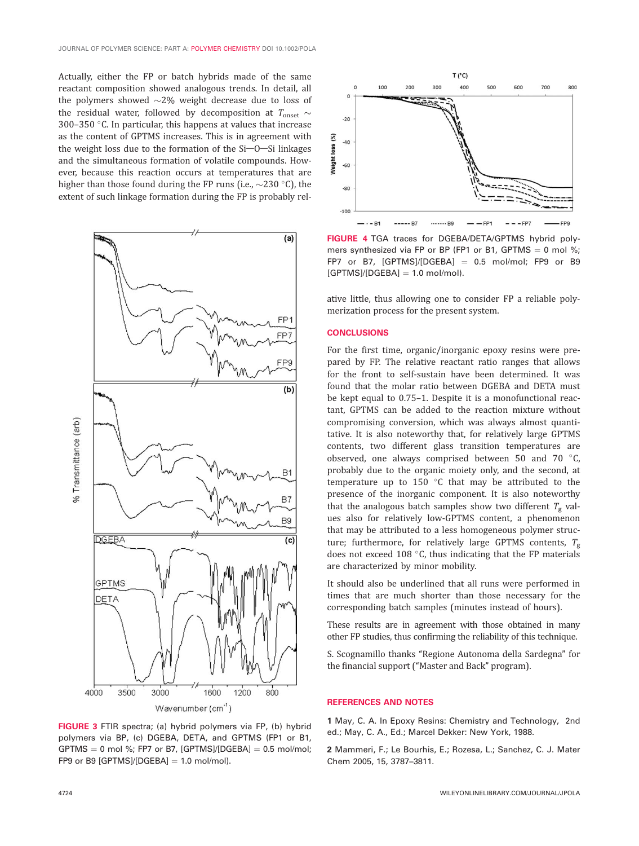Actually, either the FP or batch hybrids made of the same reactant composition showed analogous trends. In detail, all the polymers showed  $\sim$ 2% weight decrease due to loss of the residual water, followed by decomposition at  $T_{\text{onset}} \sim$ 300–350  $\degree$ C. In particular, this happens at values that increase as the content of GPTMS increases. This is in agreement with the weight loss due to the formation of the  $Si$ -O-Si linkages and the simultaneous formation of volatile compounds. However, because this reaction occurs at temperatures that are higher than those found during the FP runs (i.e.,  $\sim$ 230 °C), the extent of such linkage formation during the FP is probably rel-



FIGURE 3 FTIR spectra; (a) hybrid polymers via FP, (b) hybrid polymers via BP, (c) DGEBA, DETA, and GPTMS (FP1 or B1, GPTMS  $= 0$  mol %; FP7 or B7, [GPTMS]/[DGEBA]  $= 0.5$  mol/mol; FP9 or B9  $[GFTMS]/[DGEBA] = 1.0$  mol/mol).



FIGURE 4 TGA traces for DGEBA/DETA/GPTMS hybrid polymers synthesized via FP or BP (FP1 or B1, GPTMS  $= 0$  mol %; FP7 or B7,  $[GFTMS]/[DGEBA] = 0.5$  mol/mol; FP9 or B9  $[GPTMS]/[DGEBA] = 1.0$  mol/mol).

ative little, thus allowing one to consider FP a reliable polymerization process for the present system.

#### **CONCLUSIONS**

For the first time, organic/inorganic epoxy resins were prepared by FP. The relative reactant ratio ranges that allows for the front to self-sustain have been determined. It was found that the molar ratio between DGEBA and DETA must be kept equal to 0.75–1. Despite it is a monofunctional reactant, GPTMS can be added to the reaction mixture without compromising conversion, which was always almost quantitative. It is also noteworthy that, for relatively large GPTMS contents, two different glass transition temperatures are observed, one always comprised between 50 and 70  $^{\circ}$ C, probably due to the organic moiety only, and the second, at temperature up to 150 $\degree$ C that may be attributed to the presence of the inorganic component. It is also noteworthy that the analogous batch samples show two different  $T_g$  values also for relatively low-GPTMS content, a phenomenon that may be attributed to a less homogeneous polymer structure; furthermore, for relatively large GPTMS contents,  $T_{\rm g}$ does not exceed 108  $\degree$ C, thus indicating that the FP materials are characterized by minor mobility.

It should also be underlined that all runs were performed in times that are much shorter than those necessary for the corresponding batch samples (minutes instead of hours).

These results are in agreement with those obtained in many other FP studies, thus confirming the reliability of this technique.

S. Scognamillo thanks ''Regione Autonoma della Sardegna'' for the financial support (''Master and Back'' program).

#### REFERENCES AND NOTES

1 May, C. A. In Epoxy Resins: Chemistry and Technology, 2nd ed.; May, C. A., Ed.; Marcel Dekker: New York, 1988.

2 Mammeri, F.; Le Bourhis, E.; Rozesa, L.; Sanchez, C. J. Mater Chem 2005, 15, 3787–3811.